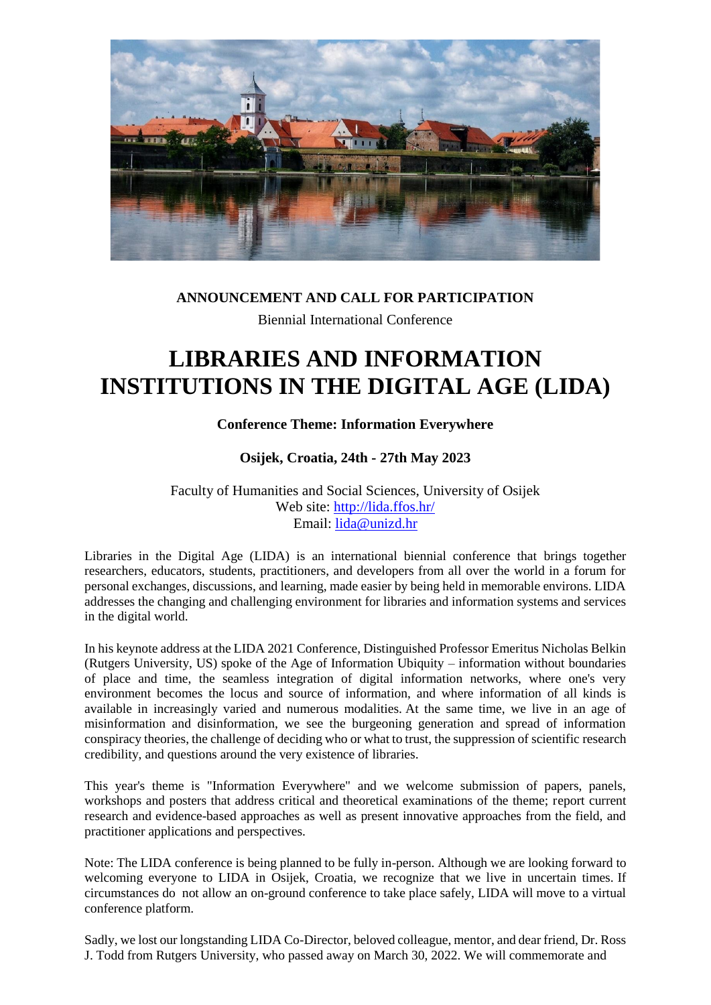

## **ANNOUNCEMENT AND CALL FOR PARTICIPATION** Biennial International Conference

# **LIBRARIES AND INFORMATION INSTITUTIONS IN THE DIGITAL AGE (LIDA)**

## **Conference Theme: Information Everywhere**

## **Osijek, Croatia, 24th - 27th May 2023**

Faculty of Humanities and Social Sciences, University of Osijek Web site:<http://lida.ffos.hr/> Email: [lida@unizd.hr](mailto:lida@unizd.hr)

Libraries in the Digital Age (LIDA) is an international biennial conference that brings together researchers, educators, students, practitioners, and developers from all over the world in a forum for personal exchanges, discussions, and learning, made easier by being held in memorable environs. LIDA addresses the changing and challenging environment for libraries and information systems and services in the digital world.

In his keynote address at the LIDA 2021 Conference, Distinguished Professor Emeritus Nicholas Belkin (Rutgers University, US) spoke of the Age of Information Ubiquity – information without boundaries of place and time, the seamless integration of digital information networks, where one's very environment becomes the locus and source of information, and where information of all kinds is available in increasingly varied and numerous modalities. At the same time, we live in an age of misinformation and disinformation, we see the burgeoning generation and spread of information conspiracy theories, the challenge of deciding who or what to trust, the suppression of scientific research credibility, and questions around the very existence of libraries.

This year's theme is "Information Everywhere" and we welcome submission of papers, panels, workshops and posters that address critical and theoretical examinations of the theme; report current research and evidence-based approaches as well as present innovative approaches from the field, and practitioner applications and perspectives.

Note: The LIDA conference is being planned to be fully in-person. Although we are looking forward to welcoming everyone to LIDA in Osijek, Croatia, we recognize that we live in uncertain times. If circumstances do not allow an on-ground conference to take place safely, LIDA will move to a virtual conference platform.

Sadly, we lost our longstanding LIDA Co-Director, beloved colleague, mentor, and dear friend, Dr. Ross J. Todd from Rutgers University, who passed away on March 30, 2022. We will commemorate and